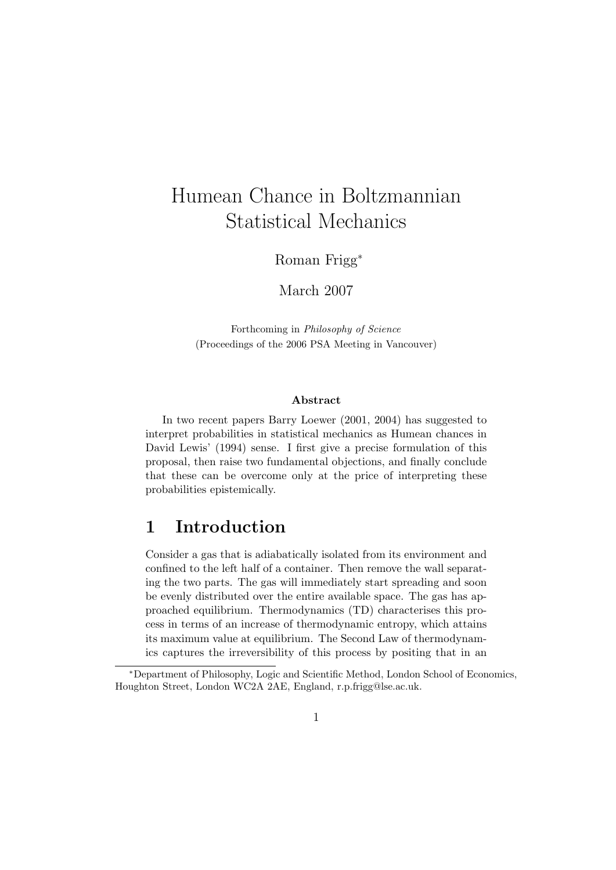# Humean Chance in Boltzmannian Statistical Mechanics

Roman Frigg<sup>∗</sup>

March 2007

Forthcoming in Philosophy of Science (Proceedings of the 2006 PSA Meeting in Vancouver)

#### Abstract

In two recent papers Barry Loewer (2001, 2004) has suggested to interpret probabilities in statistical mechanics as Humean chances in David Lewis' (1994) sense. I first give a precise formulation of this proposal, then raise two fundamental objections, and finally conclude that these can be overcome only at the price of interpreting these probabilities epistemically.

## 1 Introduction

Consider a gas that is adiabatically isolated from its environment and confined to the left half of a container. Then remove the wall separating the two parts. The gas will immediately start spreading and soon be evenly distributed over the entire available space. The gas has approached equilibrium. Thermodynamics (TD) characterises this process in terms of an increase of thermodynamic entropy, which attains its maximum value at equilibrium. The Second Law of thermodynamics captures the irreversibility of this process by positing that in an

<sup>∗</sup>Department of Philosophy, Logic and Scientific Method, London School of Economics, Houghton Street, London WC2A 2AE, England, r.p.frigg@lse.ac.uk.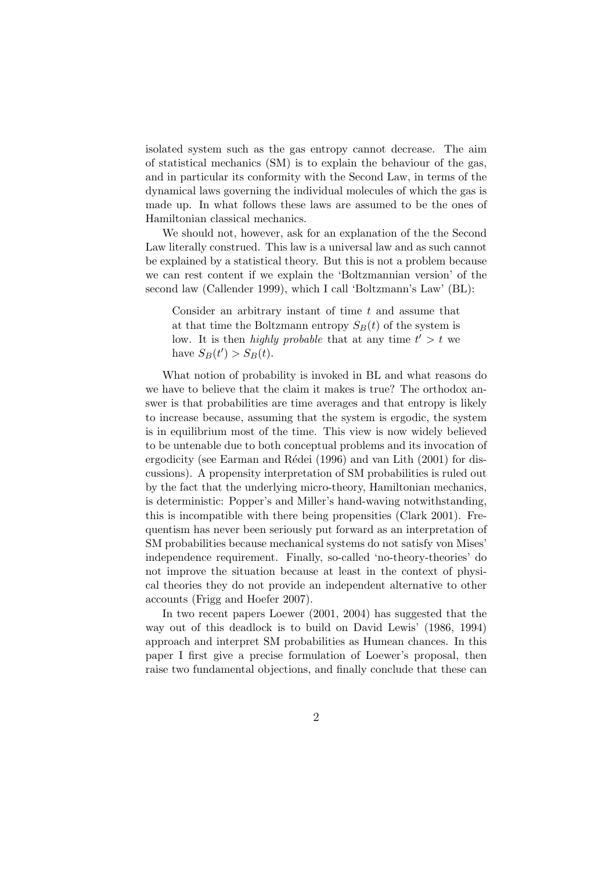isolated system such as the gas entropy cannot decrease. The aim of statistical mechanics (SM) is to explain the behaviour of the gas, and in particular its conformity with the Second Law, in terms of the dynamical laws governing the individual molecules of which the gas is made up. In what follows these laws are assumed to be the ones of Hamiltonian classical mechanics.

We should not, however, ask for an explanation of the the Second Law literally construed. This law is a universal law and as such cannot be explained by a statistical theory. But this is not a problem because we can rest content if we explain the 'Boltzmannian version' of the second law (Callender 1999), which I call 'Boltzmann's Law' (BL):

Consider an arbitrary instant of time  $t$  and assume that at that time the Boltzmann entropy  $S_B(t)$  of the system is low. It is then *highly probable* that at any time  $t' > t$  we have  $S_B(t') > S_B(t)$ .

What notion of probability is invoked in BL and what reasons do we have to believe that the claim it makes is true? The orthodox answer is that probabilities are time averages and that entropy is likely to increase because, assuming that the system is ergodic, the system is in equilibrium most of the time. This view is now widely believed to be untenable due to both conceptual problems and its invocation of ergodicity (see Earman and Rédei  $(1996)$  and van Lith  $(2001)$  for discussions). A propensity interpretation of SM probabilities is ruled out by the fact that the underlying micro-theory, Hamiltonian mechanics, is deterministic: Popper's and Miller's hand-waving notwithstanding, this is incompatible with there being propensities (Clark 2001). Frequentism has never been seriously put forward as an interpretation of SM probabilities because mechanical systems do not satisfy von Mises' independence requirement. Finally, so-called 'no-theory-theories' do not improve the situation because at least in the context of physical theories they do not provide an independent alternative to other accounts (Frigg and Hoefer 2007).

In two recent papers Loewer (2001, 2004) has suggested that the way out of this deadlock is to build on David Lewis' (1986, 1994) approach and interpret SM probabilities as Humean chances. In this paper I first give a precise formulation of Loewer's proposal, then raise two fundamental objections, and finally conclude that these can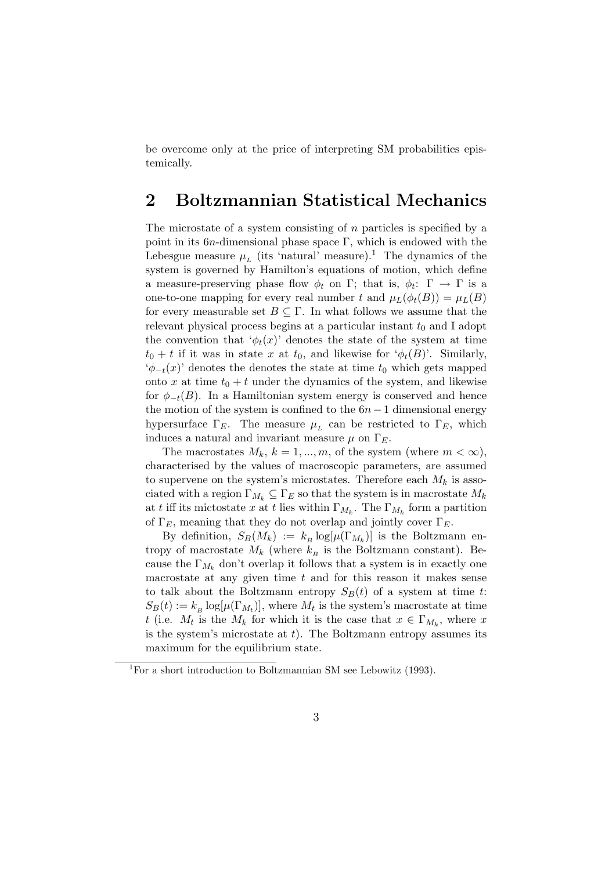be overcome only at the price of interpreting SM probabilities epistemically.

## 2 Boltzmannian Statistical Mechanics

The microstate of a system consisting of n particles is specified by a point in its 6n-dimensional phase space  $\Gamma$ , which is endowed with the Lebesgue measure  $\mu_L$  (its 'natural' measure).<sup>1</sup> The dynamics of the system is governed by Hamilton's equations of motion, which define a measure-preserving phase flow  $\phi_t$  on  $\Gamma$ ; that is,  $\phi_t$ :  $\Gamma \to \Gamma$  is a one-to-one mapping for every real number t and  $\mu_L(\phi_t(B)) = \mu_L(B)$ for every measurable set  $B \subseteq \Gamma$ . In what follows we assume that the relevant physical process begins at a particular instant  $t_0$  and I adopt the convention that ' $\phi_t(x)$ ' denotes the state of the system at time  $t_0 + t$  if it was in state x at  $t_0$ , and likewise for ' $\phi_t(B)$ '. Similarly,  $\phi_{-t}(x)$ ' denotes the denotes the state at time  $t_0$  which gets mapped onto x at time  $t_0 + t$  under the dynamics of the system, and likewise for  $\phi_{-t}(B)$ . In a Hamiltonian system energy is conserved and hence the motion of the system is confined to the  $6n - 1$  dimensional energy hypersurface  $\Gamma_E$ . The measure  $\mu_L$  can be restricted to  $\Gamma_E$ , which induces a natural and invariant measure  $\mu$  on  $\Gamma_E$ .

The macrostates  $M_k$ ,  $k = 1, ..., m$ , of the system (where  $m < \infty$ ), characterised by the values of macroscopic parameters, are assumed to supervene on the system's microstates. Therefore each  $M_k$  is associated with a region  $\Gamma_{M_k} \subseteq \Gamma_E$  so that the system is in macrostate  $M_k$ at t iff its mictostate x at t lies within  $\Gamma_{M_k}$ . The  $\Gamma_{M_k}$  form a partition of  $\Gamma_E$ , meaning that they do not overlap and jointly cover  $\Gamma_E$ .

By definition,  $S_B(M_k) := k_B \log[\mu(\Gamma_{M_k})]$  is the Boltzmann entropy of macrostate  $M_k$  (where  $k_B$  is the Boltzmann constant). Because the  $\Gamma_{M_k}$  don't overlap it follows that a system is in exactly one macrostate at any given time  $t$  and for this reason it makes sense to talk about the Boltzmann entropy  $S_B(t)$  of a system at time t:  $S_B(t) := k_B \log[\mu(\Gamma_{M_t})],$  where  $M_t$  is the system's macrostate at time t (i.e.  $M_t$  is the  $M_k$  for which it is the case that  $x \in \Gamma_{M_k}$ , where x is the system's microstate at  $t$ ). The Boltzmann entropy assumes its maximum for the equilibrium state.

<sup>1</sup>For a short introduction to Boltzmannian SM see Lebowitz (1993).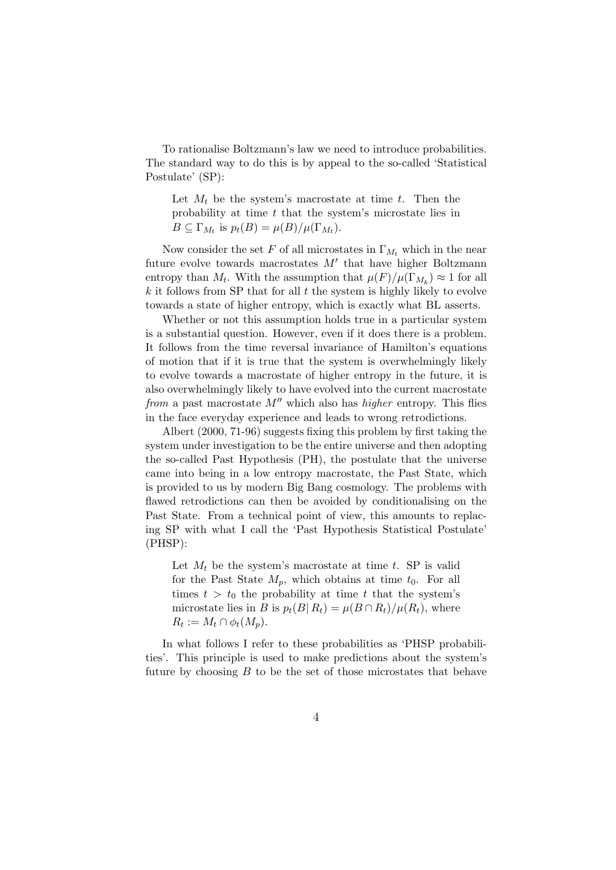To rationalise Boltzmann's law we need to introduce probabilities. The standard way to do this is by appeal to the so-called 'Statistical Postulate' (SP):

Let  $M_t$  be the system's macrostate at time t. Then the probability at time  $t$  that the system's microstate lies in  $B \subseteq \Gamma_{M_t}$  is  $p_t(B) = \mu(B)/\mu(\Gamma_{M_t}).$ 

Now consider the set F of all microstates in  $\Gamma_{M_t}$  which in the near future evolve towards macrostates  $M'$  that have higher Boltzmann entropy than  $M_t$ . With the assumption that  $\mu(F)/\mu(\Gamma_{M_k}) \approx 1$  for all  $k$  it follows from SP that for all  $t$  the system is highly likely to evolve towards a state of higher entropy, which is exactly what BL asserts.

Whether or not this assumption holds true in a particular system is a substantial question. However, even if it does there is a problem. It follows from the time reversal invariance of Hamilton's equations of motion that if it is true that the system is overwhelmingly likely to evolve towards a macrostate of higher entropy in the future, it is also overwhelmingly likely to have evolved into the current macrostate from a past macrostate  $M''$  which also has *higher* entropy. This flies in the face everyday experience and leads to wrong retrodictions.

Albert (2000, 71-96) suggests fixing this problem by first taking the system under investigation to be the entire universe and then adopting the so-called Past Hypothesis (PH), the postulate that the universe came into being in a low entropy macrostate, the Past State, which is provided to us by modern Big Bang cosmology. The problems with flawed retrodictions can then be avoided by conditionalising on the Past State. From a technical point of view, this amounts to replacing SP with what I call the 'Past Hypothesis Statistical Postulate' (PHSP):

Let  $M_t$  be the system's macrostate at time t. SP is valid for the Past State  $M_p$ , which obtains at time  $t_0$ . For all times  $t > t_0$  the probability at time t that the system's microstate lies in B is  $p_t(B|R_t) = \mu(B \cap R_t)/\mu(R_t)$ , where  $R_t := M_t \cap \phi_t(M_p).$ 

In what follows I refer to these probabilities as 'PHSP probabilities'. This principle is used to make predictions about the system's future by choosing  $B$  to be the set of those microstates that behave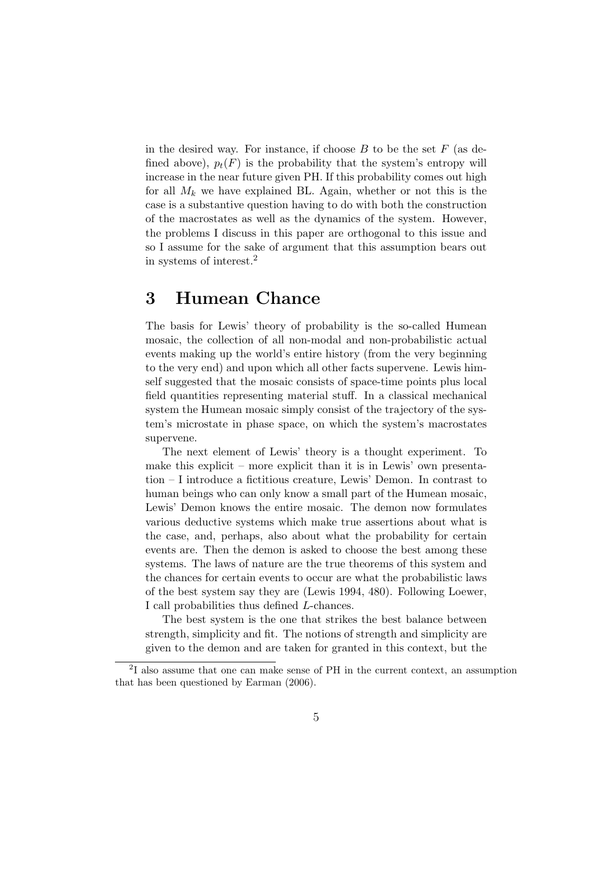in the desired way. For instance, if choose  $B$  to be the set  $F$  (as defined above),  $p_t(F)$  is the probability that the system's entropy will increase in the near future given PH. If this probability comes out high for all  $M_k$  we have explained BL. Again, whether or not this is the case is a substantive question having to do with both the construction of the macrostates as well as the dynamics of the system. However, the problems I discuss in this paper are orthogonal to this issue and so I assume for the sake of argument that this assumption bears out in systems of interest.<sup>2</sup>

### 3 Humean Chance

The basis for Lewis' theory of probability is the so-called Humean mosaic, the collection of all non-modal and non-probabilistic actual events making up the world's entire history (from the very beginning to the very end) and upon which all other facts supervene. Lewis himself suggested that the mosaic consists of space-time points plus local field quantities representing material stuff. In a classical mechanical system the Humean mosaic simply consist of the trajectory of the system's microstate in phase space, on which the system's macrostates supervene.

The next element of Lewis' theory is a thought experiment. To make this explicit – more explicit than it is in Lewis' own presentation – I introduce a fictitious creature, Lewis' Demon. In contrast to human beings who can only know a small part of the Humean mosaic, Lewis' Demon knows the entire mosaic. The demon now formulates various deductive systems which make true assertions about what is the case, and, perhaps, also about what the probability for certain events are. Then the demon is asked to choose the best among these systems. The laws of nature are the true theorems of this system and the chances for certain events to occur are what the probabilistic laws of the best system say they are (Lewis 1994, 480). Following Loewer, I call probabilities thus defined L-chances.

The best system is the one that strikes the best balance between strength, simplicity and fit. The notions of strength and simplicity are given to the demon and are taken for granted in this context, but the

<sup>2</sup> I also assume that one can make sense of PH in the current context, an assumption that has been questioned by Earman (2006).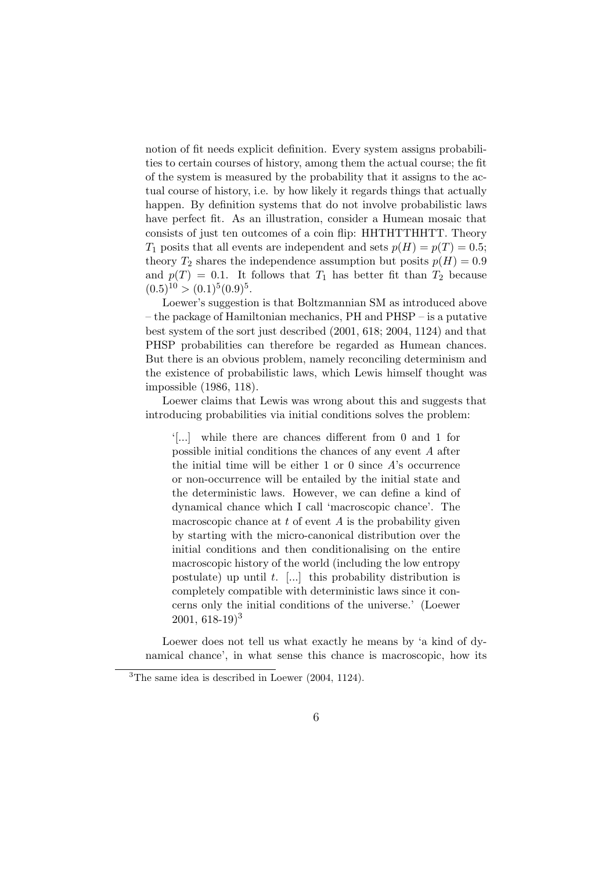notion of fit needs explicit definition. Every system assigns probabilities to certain courses of history, among them the actual course; the fit of the system is measured by the probability that it assigns to the actual course of history, i.e. by how likely it regards things that actually happen. By definition systems that do not involve probabilistic laws have perfect fit. As an illustration, consider a Humean mosaic that consists of just ten outcomes of a coin flip: HHTHTTHHTT. Theory  $T_1$  posits that all events are independent and sets  $p(H) = p(T) = 0.5$ ; theory  $T_2$  shares the independence assumption but posits  $p(H) = 0.9$ and  $p(T) = 0.1$ . It follows that  $T_1$  has better fit than  $T_2$  because  $(0.5)^{10} > (0.1)^{5}(0.9)^{5}.$ 

Loewer's suggestion is that Boltzmannian SM as introduced above – the package of Hamiltonian mechanics, PH and PHSP – is a putative best system of the sort just described (2001, 618; 2004, 1124) and that PHSP probabilities can therefore be regarded as Humean chances. But there is an obvious problem, namely reconciling determinism and the existence of probabilistic laws, which Lewis himself thought was impossible (1986, 118).

Loewer claims that Lewis was wrong about this and suggests that introducing probabilities via initial conditions solves the problem:

'[...] while there are chances different from 0 and 1 for possible initial conditions the chances of any event A after the initial time will be either 1 or 0 since  $A$ 's occurrence or non-occurrence will be entailed by the initial state and the deterministic laws. However, we can define a kind of dynamical chance which I call 'macroscopic chance'. The macroscopic chance at  $t$  of event  $A$  is the probability given by starting with the micro-canonical distribution over the initial conditions and then conditionalising on the entire macroscopic history of the world (including the low entropy postulate) up until t.  $[\dots]$  this probability distribution is completely compatible with deterministic laws since it concerns only the initial conditions of the universe.' (Loewer  $2001, 618-19)^3$ 

Loewer does not tell us what exactly he means by 'a kind of dynamical chance', in what sense this chance is macroscopic, how its

<sup>3</sup>The same idea is described in Loewer (2004, 1124).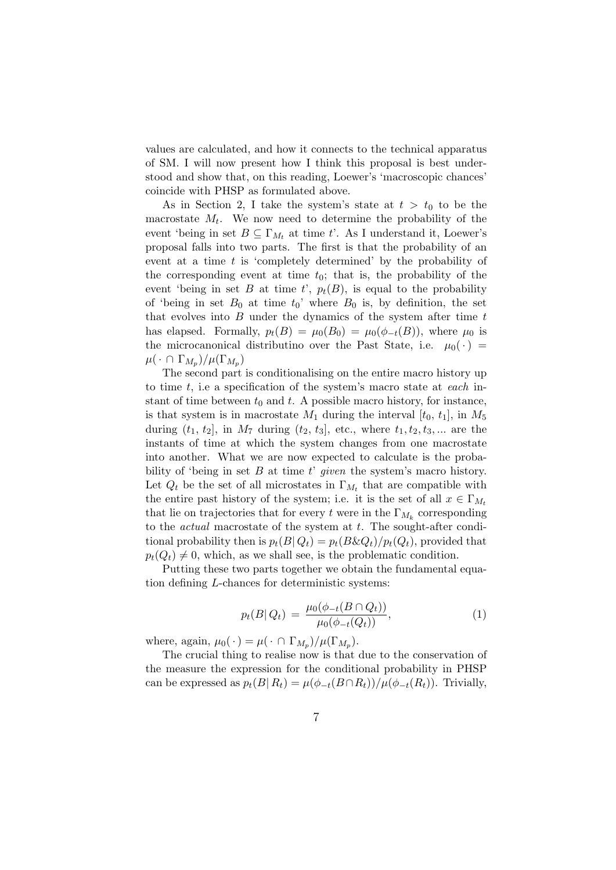values are calculated, and how it connects to the technical apparatus of SM. I will now present how I think this proposal is best understood and show that, on this reading, Loewer's 'macroscopic chances' coincide with PHSP as formulated above.

As in Section 2, I take the system's state at  $t > t_0$  to be the macrostate  $M_t$ . We now need to determine the probability of the event 'being in set  $B \subseteq \Gamma_{M_t}$  at time t'. As I understand it, Loewer's proposal falls into two parts. The first is that the probability of an event at a time  $t$  is 'completely determined' by the probability of the corresponding event at time  $t_0$ ; that is, the probability of the event 'being in set B at time t',  $p_t(B)$ , is equal to the probability of 'being in set  $B_0$  at time  $t_0$ ' where  $B_0$  is, by definition, the set that evolves into  $B$  under the dynamics of the system after time  $t$ has elapsed. Formally,  $p_t(B) = \mu_0(B_0) = \mu_0(\phi_{-t}(B))$ , where  $\mu_0$  is the microcanonical distributino over the Past State, i.e.  $\mu_0(\cdot)$  =  $\mu(\,\cdot\,\cap\,\Gamma_{M_p})/\mu(\Gamma_{M_p})$ 

The second part is conditionalising on the entire macro history up to time  $t$ , i.e a specification of the system's macro state at each instant of time between  $t_0$  and  $t$ . A possible macro history, for instance, is that system is in macrostate  $M_1$  during the interval  $[t_0, t_1]$ , in  $M_5$ during  $(t_1, t_2]$ , in  $M_7$  during  $(t_2, t_3]$ , etc., where  $t_1, t_2, t_3, \dots$  are the instants of time at which the system changes from one macrostate into another. What we are now expected to calculate is the probability of 'being in set  $B$  at time  $t'$  given the system's macro history. Let  $Q_t$  be the set of all microstates in  $\Gamma_{M_t}$  that are compatible with the entire past history of the system; i.e. it is the set of all  $x \in \Gamma_{M_t}$ that lie on trajectories that for every t were in the  $\Gamma_{M_k}$  corresponding to the *actual* macrostate of the system at  $t$ . The sought-after conditional probability then is  $p_t(B|Q_t) = p_t(B \& Q_t)/p_t(Q_t)$ , provided that  $p_t(Q_t) \neq 0$ , which, as we shall see, is the problematic condition.

Putting these two parts together we obtain the fundamental equation defining L-chances for deterministic systems:

$$
p_t(B|Q_t) = \frac{\mu_0(\phi_{-t}(B \cap Q_t))}{\mu_0(\phi_{-t}(Q_t))},\tag{1}
$$

where, again,  $\mu_0(\cdot) = \mu(\cdot \cap \Gamma_{M_p})/\mu(\Gamma_{M_p}).$ 

The crucial thing to realise now is that due to the conservation of the measure the expression for the conditional probability in PHSP can be expressed as  $p_t(B|R_t) = \mu(\phi_{-t}(B \cap R_t))/\mu(\phi_{-t}(R_t))$ . Trivially,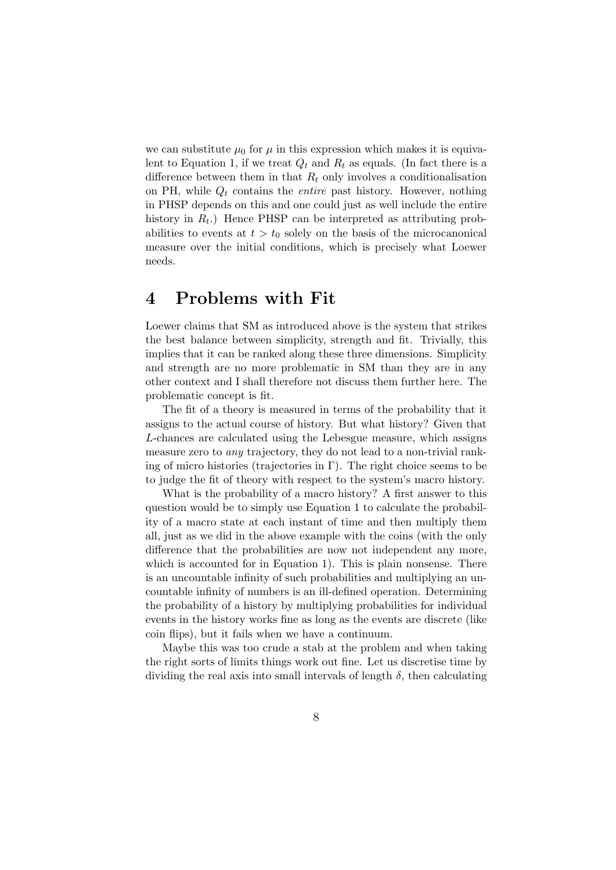we can substitute  $\mu_0$  for  $\mu$  in this expression which makes it is equivalent to Equation 1, if we treat  $Q_t$  and  $R_t$  as equals. (In fact there is a difference between them in that  $R_t$  only involves a conditionalisation on PH, while  $Q_t$  contains the *entire* past history. However, nothing in PHSP depends on this and one could just as well include the entire history in  $R_t$ .) Hence PHSP can be interpreted as attributing probabilities to events at  $t > t_0$  solely on the basis of the microcanonical measure over the initial conditions, which is precisely what Loewer needs.

#### 4 Problems with Fit

Loewer claims that SM as introduced above is the system that strikes the best balance between simplicity, strength and fit. Trivially, this implies that it can be ranked along these three dimensions. Simplicity and strength are no more problematic in SM than they are in any other context and I shall therefore not discuss them further here. The problematic concept is fit.

The fit of a theory is measured in terms of the probability that it assigns to the actual course of history. But what history? Given that L-chances are calculated using the Lebesgue measure, which assigns measure zero to any trajectory, they do not lead to a non-trivial ranking of micro histories (trajectories in Γ). The right choice seems to be to judge the fit of theory with respect to the system's macro history.

What is the probability of a macro history? A first answer to this question would be to simply use Equation 1 to calculate the probability of a macro state at each instant of time and then multiply them all, just as we did in the above example with the coins (with the only difference that the probabilities are now not independent any more, which is accounted for in Equation 1). This is plain nonsense. There is an uncountable infinity of such probabilities and multiplying an uncountable infinity of numbers is an ill-defined operation. Determining the probability of a history by multiplying probabilities for individual events in the history works fine as long as the events are discrete (like coin flips), but it fails when we have a continuum.

Maybe this was too crude a stab at the problem and when taking the right sorts of limits things work out fine. Let us discretise time by dividing the real axis into small intervals of length  $\delta$ , then calculating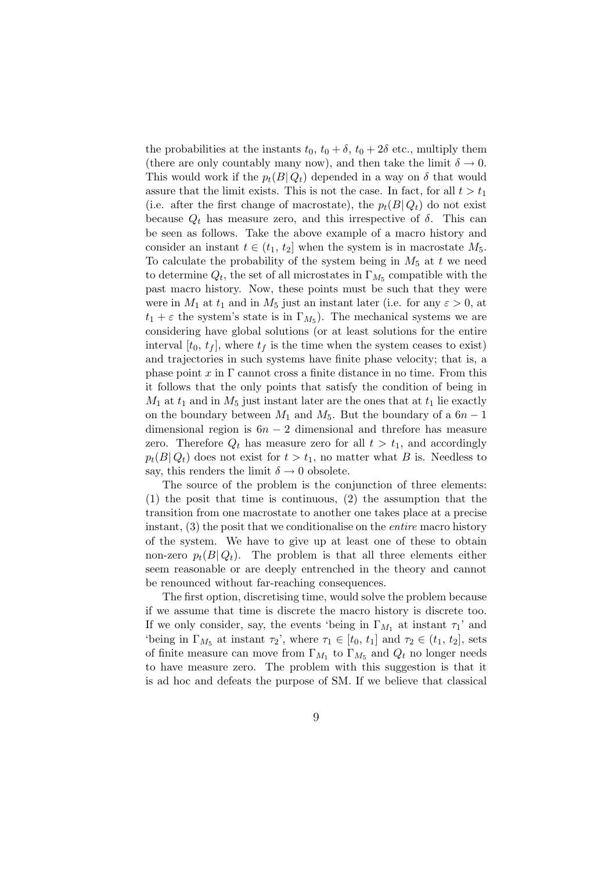the probabilities at the instants  $t_0$ ,  $t_0 + \delta$ ,  $t_0 + 2\delta$  etc., multiply them (there are only countably many now), and then take the limit  $\delta \to 0$ . This would work if the  $p_t(B|Q_t)$  depended in a way on  $\delta$  that would assure that the limit exists. This is not the case. In fact, for all  $t > t_1$ (i.e. after the first change of macrostate), the  $p_t(B|Q_t)$  do not exist because  $Q_t$  has measure zero, and this irrespective of  $\delta$ . This can be seen as follows. Take the above example of a macro history and consider an instant  $t \in (t_1, t_2]$  when the system is in macrostate  $M_5$ . To calculate the probability of the system being in  $M_5$  at t we need to determine  $Q_t$ , the set of all microstates in  $\Gamma_{M_5}$  compatible with the past macro history. Now, these points must be such that they were were in  $M_1$  at  $t_1$  and in  $M_5$  just an instant later (i.e. for any  $\varepsilon > 0$ , at  $t_1 + \varepsilon$  the system's state is in  $\Gamma_{M_5}$ ). The mechanical systems we are considering have global solutions (or at least solutions for the entire interval  $[t_0, t_f]$ , where  $t_f$  is the time when the system ceases to exist) and trajectories in such systems have finite phase velocity; that is, a phase point  $x$  in  $\Gamma$  cannot cross a finite distance in no time. From this it follows that the only points that satisfy the condition of being in  $M_1$  at  $t_1$  and in  $M_5$  just instant later are the ones that at  $t_1$  lie exactly on the boundary between  $M_1$  and  $M_5$ . But the boundary of a  $6n-1$ dimensional region is  $6n - 2$  dimensional and threfore has measure zero. Therefore  $Q_t$  has measure zero for all  $t > t_1$ , and accordingly  $p_t(B|Q_t)$  does not exist for  $t > t_1$ , no matter what B is. Needless to say, this renders the limit  $\delta \to 0$  obsolete.

The source of the problem is the conjunction of three elements: (1) the posit that time is continuous, (2) the assumption that the transition from one macrostate to another one takes place at a precise instant, (3) the posit that we conditionalise on the entire macro history of the system. We have to give up at least one of these to obtain non-zero  $p_t(B|Q_t)$ . The problem is that all three elements either seem reasonable or are deeply entrenched in the theory and cannot be renounced without far-reaching consequences.

The first option, discretising time, would solve the problem because if we assume that time is discrete the macro history is discrete too. If we only consider, say, the events 'being in  $\Gamma_{M_1}$  at instant  $\tau_1$ ' and 'being in  $\Gamma_{M_5}$  at instant  $\tau_2$ ', where  $\tau_1 \in [t_0, t_1]$  and  $\tau_2 \in (t_1, t_2]$ , sets of finite measure can move from  $\Gamma_{M_1}$  to  $\Gamma_{M_5}$  and  $Q_t$  no longer needs to have measure zero. The problem with this suggestion is that it is ad hoc and defeats the purpose of SM. If we believe that classical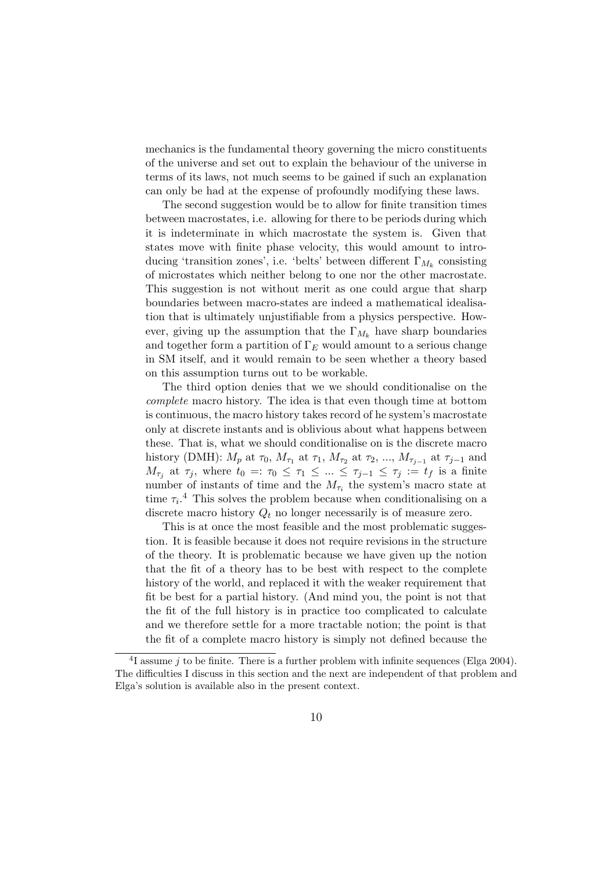mechanics is the fundamental theory governing the micro constituents of the universe and set out to explain the behaviour of the universe in terms of its laws, not much seems to be gained if such an explanation can only be had at the expense of profoundly modifying these laws.

The second suggestion would be to allow for finite transition times between macrostates, i.e. allowing for there to be periods during which it is indeterminate in which macrostate the system is. Given that states move with finite phase velocity, this would amount to introducing 'transition zones', i.e. 'belts' between different  $\Gamma_{M_k}$  consisting of microstates which neither belong to one nor the other macrostate. This suggestion is not without merit as one could argue that sharp boundaries between macro-states are indeed a mathematical idealisation that is ultimately unjustifiable from a physics perspective. However, giving up the assumption that the  $\Gamma_{M_k}$  have sharp boundaries and together form a partition of  $\Gamma_E$  would amount to a serious change in SM itself, and it would remain to be seen whether a theory based on this assumption turns out to be workable.

The third option denies that we we should conditionalise on the complete macro history. The idea is that even though time at bottom is continuous, the macro history takes record of he system's macrostate only at discrete instants and is oblivious about what happens between these. That is, what we should conditionalise on is the discrete macro history (DMH):  $M_p$  at  $\tau_0$ ,  $M_{\tau_1}$  at  $\tau_1$ ,  $M_{\tau_2}$  at  $\tau_2$ , ...,  $M_{\tau_{j-1}}$  at  $\tau_{j-1}$  and  $M_{\tau_j}$  at  $\tau_j$ , where  $t_0 =: \tau_0 \leq \tau_1 \leq ... \leq \tau_{j-1} \leq \tau_j := t_f$  is a finite number of instants of time and the  $M_{\tau_i}$  the system's macro state at time  $\tau_i$ <sup>4</sup>. This solves the problem because when conditionalising on a discrete macro history  $Q_t$  no longer necessarily is of measure zero.

This is at once the most feasible and the most problematic suggestion. It is feasible because it does not require revisions in the structure of the theory. It is problematic because we have given up the notion that the fit of a theory has to be best with respect to the complete history of the world, and replaced it with the weaker requirement that fit be best for a partial history. (And mind you, the point is not that the fit of the full history is in practice too complicated to calculate and we therefore settle for a more tractable notion; the point is that the fit of a complete macro history is simply not defined because the

<sup>&</sup>lt;sup>4</sup>I assume j to be finite. There is a further problem with infinite sequences (Elga 2004). The difficulties I discuss in this section and the next are independent of that problem and Elga's solution is available also in the present context.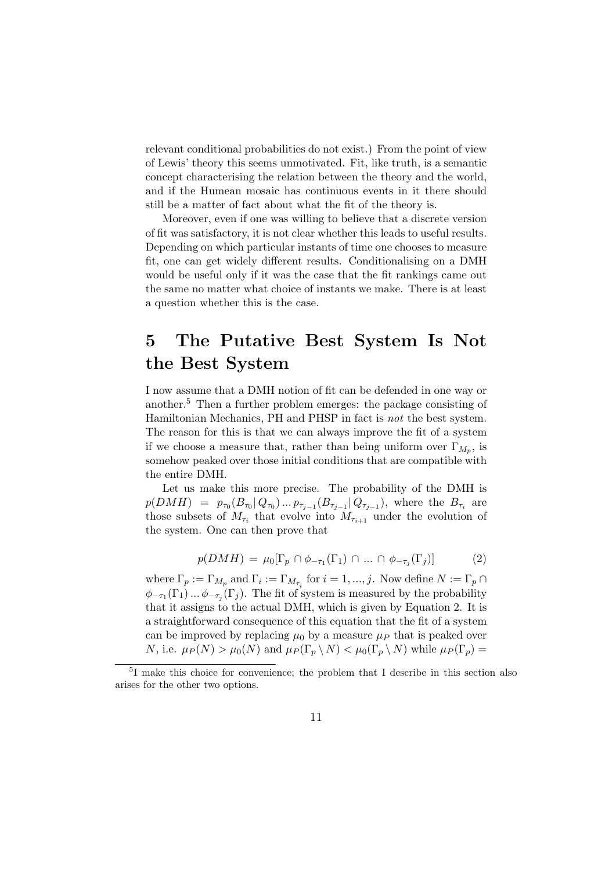relevant conditional probabilities do not exist.) From the point of view of Lewis' theory this seems unmotivated. Fit, like truth, is a semantic concept characterising the relation between the theory and the world, and if the Humean mosaic has continuous events in it there should still be a matter of fact about what the fit of the theory is.

Moreover, even if one was willing to believe that a discrete version of fit was satisfactory, it is not clear whether this leads to useful results. Depending on which particular instants of time one chooses to measure fit, one can get widely different results. Conditionalising on a DMH would be useful only if it was the case that the fit rankings came out the same no matter what choice of instants we make. There is at least a question whether this is the case.

## 5 The Putative Best System Is Not the Best System

I now assume that a DMH notion of fit can be defended in one way or another.<sup>5</sup> Then a further problem emerges: the package consisting of Hamiltonian Mechanics, PH and PHSP in fact is not the best system. The reason for this is that we can always improve the fit of a system if we choose a measure that, rather than being uniform over  $\Gamma_{M_p}$ , is somehow peaked over those initial conditions that are compatible with the entire DMH.

Let us make this more precise. The probability of the DMH is  $p(DMH) = p_{\tau_0}(B_{\tau_0}|Q_{\tau_0})...p_{\tau_{j-1}}(B_{\tau_{j-1}}|Q_{\tau_{j-1}})$ , where the  $B_{\tau_i}$  are those subsets of  $M_{\tau_i}$  that evolve into  $M_{\tau_{i+1}}$  under the evolution of the system. One can then prove that

$$
p(DMH) = \mu_0[\Gamma_p \cap \phi_{-\tau_1}(\Gamma_1) \cap \dots \cap \phi_{-\tau_j}(\Gamma_j)] \tag{2}
$$

where  $\Gamma_p := \Gamma_{M_p}$  and  $\Gamma_i := \Gamma_{M_{\tau_i}}$  for  $i = 1, ..., j$ . Now define  $N := \Gamma_p \cap$  $\phi_{-\tau_1}(\Gamma_1) \dots \phi_{-\tau_j}(\Gamma_j)$ . The fit of system is measured by the probability that it assigns to the actual DMH, which is given by Equation 2. It is a straightforward consequence of this equation that the fit of a system can be improved by replacing  $\mu_0$  by a measure  $\mu_P$  that is peaked over N, i.e.  $\mu_P(N) > \mu_0(N)$  and  $\mu_P(\Gamma_p \setminus N) < \mu_0(\Gamma_p \setminus N)$  while  $\mu_P(\Gamma_p)$ 

<sup>5</sup> I make this choice for convenience; the problem that I describe in this section also arises for the other two options.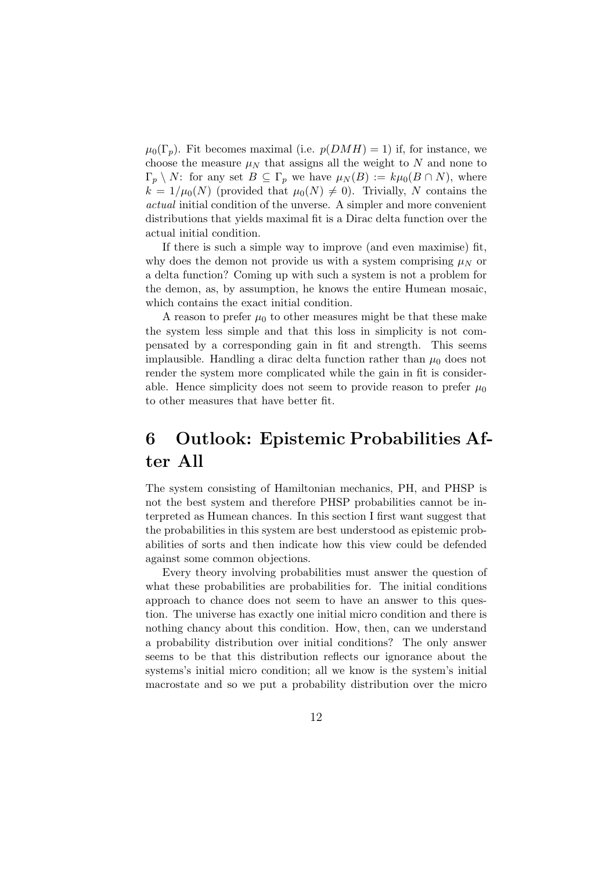$\mu_0(\Gamma_p)$ . Fit becomes maximal (i.e.  $p(DMH) = 1$ ) if, for instance, we choose the measure  $\mu_N$  that assigns all the weight to N and none to  $\Gamma_p \setminus N$ : for any set  $B \subseteq \Gamma_p$  we have  $\mu_N(B) := k\mu_0(B \cap N)$ , where  $k = 1/\mu_0(N)$  (provided that  $\mu_0(N) \neq 0$ ). Trivially, N contains the actual initial condition of the unverse. A simpler and more convenient distributions that yields maximal fit is a Dirac delta function over the actual initial condition.

If there is such a simple way to improve (and even maximise) fit, why does the demon not provide us with a system comprising  $\mu<sub>N</sub>$  or a delta function? Coming up with such a system is not a problem for the demon, as, by assumption, he knows the entire Humean mosaic, which contains the exact initial condition.

A reason to prefer  $\mu_0$  to other measures might be that these make the system less simple and that this loss in simplicity is not compensated by a corresponding gain in fit and strength. This seems implausible. Handling a dirac delta function rather than  $\mu_0$  does not render the system more complicated while the gain in fit is considerable. Hence simplicity does not seem to provide reason to prefer  $\mu_0$ to other measures that have better fit.

## 6 Outlook: Epistemic Probabilities After All

The system consisting of Hamiltonian mechanics, PH, and PHSP is not the best system and therefore PHSP probabilities cannot be interpreted as Humean chances. In this section I first want suggest that the probabilities in this system are best understood as epistemic probabilities of sorts and then indicate how this view could be defended against some common objections.

Every theory involving probabilities must answer the question of what these probabilities are probabilities for. The initial conditions approach to chance does not seem to have an answer to this question. The universe has exactly one initial micro condition and there is nothing chancy about this condition. How, then, can we understand a probability distribution over initial conditions? The only answer seems to be that this distribution reflects our ignorance about the systems's initial micro condition; all we know is the system's initial macrostate and so we put a probability distribution over the micro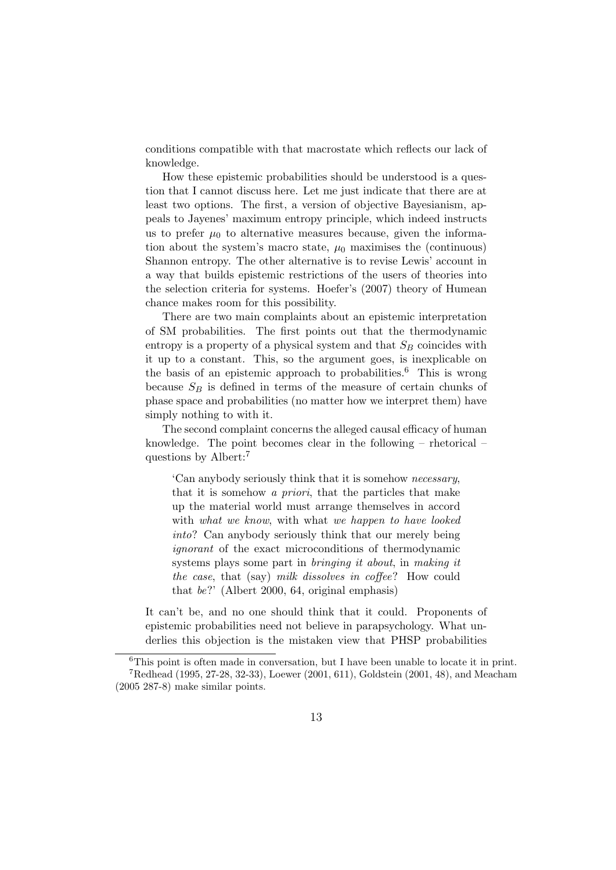conditions compatible with that macrostate which reflects our lack of knowledge.

How these epistemic probabilities should be understood is a question that I cannot discuss here. Let me just indicate that there are at least two options. The first, a version of objective Bayesianism, appeals to Jayenes' maximum entropy principle, which indeed instructs us to prefer  $\mu_0$  to alternative measures because, given the information about the system's macro state,  $\mu_0$  maximises the (continuous) Shannon entropy. The other alternative is to revise Lewis' account in a way that builds epistemic restrictions of the users of theories into the selection criteria for systems. Hoefer's (2007) theory of Humean chance makes room for this possibility.

There are two main complaints about an epistemic interpretation of SM probabilities. The first points out that the thermodynamic entropy is a property of a physical system and that  $S_B$  coincides with it up to a constant. This, so the argument goes, is inexplicable on the basis of an epistemic approach to probabilities.<sup>6</sup> This is wrong because  $S_B$  is defined in terms of the measure of certain chunks of phase space and probabilities (no matter how we interpret them) have simply nothing to with it.

The second complaint concerns the alleged causal efficacy of human knowledge. The point becomes clear in the following – rhetorical – questions by Albert:<sup>7</sup>

'Can anybody seriously think that it is somehow necessary, that it is somehow a priori, that the particles that make up the material world must arrange themselves in accord with what we know, with what we happen to have looked into? Can anybody seriously think that our merely being ignorant of the exact microconditions of thermodynamic systems plays some part in bringing it about, in making it the case, that (say) milk dissolves in coffee? How could that be?' (Albert 2000, 64, original emphasis)

It can't be, and no one should think that it could. Proponents of epistemic probabilities need not believe in parapsychology. What underlies this objection is the mistaken view that PHSP probabilities

 ${}^{6}$ This point is often made in conversation, but I have been unable to locate it in print. <sup>7</sup>Redhead (1995, 27-28, 32-33), Loewer (2001, 611), Goldstein (2001, 48), and Meacham

<sup>(2005 287-8)</sup> make similar points.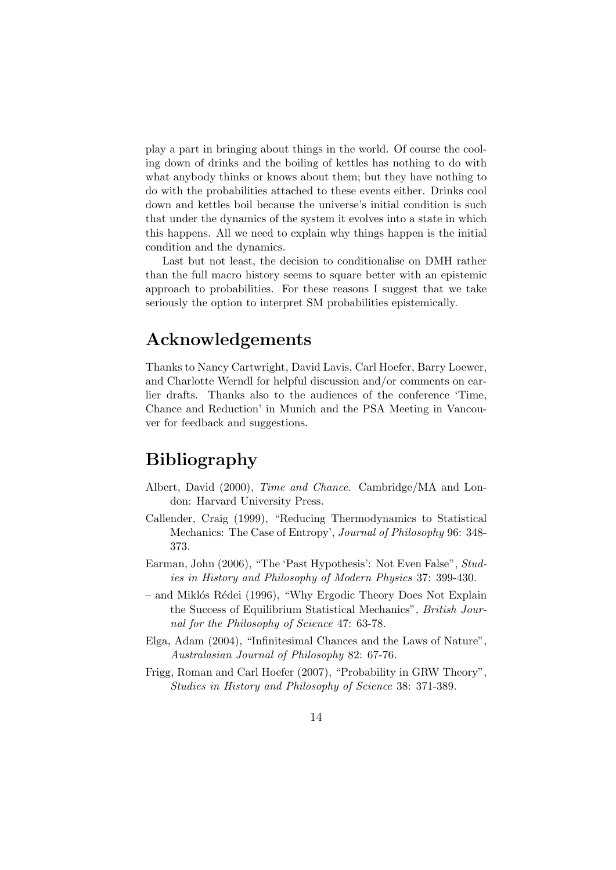play a part in bringing about things in the world. Of course the cooling down of drinks and the boiling of kettles has nothing to do with what anybody thinks or knows about them; but they have nothing to do with the probabilities attached to these events either. Drinks cool down and kettles boil because the universe's initial condition is such that under the dynamics of the system it evolves into a state in which this happens. All we need to explain why things happen is the initial condition and the dynamics.

Last but not least, the decision to conditionalise on DMH rather than the full macro history seems to square better with an epistemic approach to probabilities. For these reasons I suggest that we take seriously the option to interpret SM probabilities epistemically.

## Acknowledgements

Thanks to Nancy Cartwright, David Lavis, Carl Hoefer, Barry Loewer, and Charlotte Werndl for helpful discussion and/or comments on earlier drafts. Thanks also to the audiences of the conference 'Time, Chance and Reduction' in Munich and the PSA Meeting in Vancouver for feedback and suggestions.

## Bibliography

- Albert, David (2000), Time and Chance. Cambridge/MA and London: Harvard University Press.
- Callender, Craig (1999), "Reducing Thermodynamics to Statistical Mechanics: The Case of Entropy', Journal of Philosophy 96: 348- 373.
- Earman, John (2006), "The 'Past Hypothesis': Not Even False", Studies in History and Philosophy of Modern Physics 37: 399-430.
- $-$  and Miklós Rédei (1996), "Why Ergodic Theory Does Not Explain the Success of Equilibrium Statistical Mechanics", British Journal for the Philosophy of Science 47: 63-78.
- Elga, Adam (2004), "Infinitesimal Chances and the Laws of Nature", Australasian Journal of Philosophy 82: 67-76.
- Frigg, Roman and Carl Hoefer (2007), "Probability in GRW Theory", Studies in History and Philosophy of Science 38: 371-389.